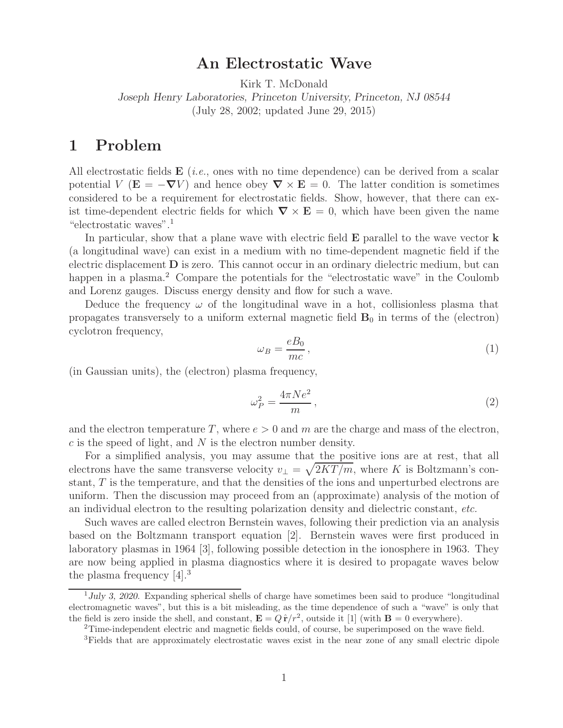## **An Electrostatic Wave**

Kirk T. McDonald

*Joseph Henry Laboratories, Princeton University, Princeton, NJ 08544* (July 28, 2002; updated June 29, 2015)

## **1 Problem**

All electrostatic fields **<sup>E</sup>** (*i.e.*, ones with no time dependence) can be derived from a scalar potential V ( $\mathbf{E} = -\nabla V$ ) and hence obey  $\nabla \times \mathbf{E} = 0$ . The latter condition is sometimes considered to be a requirement for electrostatic fields. Show, however, that there can exist time-dependent electric fields for which  $\nabla \times \mathbf{E} = 0$ , which have been given the name "electrostatic waves".<sup>1</sup>

In particular, show that a plane wave with electric field **E** parallel to the wave vector **k** (a longitudinal wave) can exist in a medium with no time-dependent magnetic field if the electric displacement **D** is zero. This cannot occur in an ordinary dielectric medium, but can happen in a plasma.<sup>2</sup> Compare the potentials for the "electrostatic wave" in the Coulomb and Lorenz gauges. Discuss energy density and flow for such a wave.

Deduce the frequency  $\omega$  of the longitudinal wave in a hot, collisionless plasma that propagates transversely to a uniform external magnetic field  $B_0$  in terms of the (electron) cyclotron frequency,

$$
\omega_B = \frac{eB_0}{mc},\tag{1}
$$

(in Gaussian units), the (electron) plasma frequency,

$$
\omega_P^2 = \frac{4\pi Ne^2}{m},\qquad(2)
$$

and the electron temperature T, where  $e > 0$  and m are the charge and mass of the electron,  $c$  is the speed of light, and  $N$  is the electron number density.

For a simplified analysis, you may assume that the positive ions are at rest, that all electrons have the same transverse velocity  $v_{\perp} = \sqrt{2KT/m}$ , where K is Boltzmann's constant, T is the temperature, and that the densities of the ions and unperturbed electrons are uniform. Then the discussion may proceed from an (approximate) analysis of the motion of an individual electron to the resulting polarization density and dielectric constant, *etc.*

Such waves are called electron Bernstein waves, following their prediction via an analysis based on the Boltzmann transport equation [2]. Bernstein waves were first produced in laboratory plasmas in 1964 [3], following possible detection in the ionosphere in 1963. They are now being applied in plasma diagnostics where it is desired to propagate waves below the plasma frequency [4].<sup>3</sup>

<sup>&</sup>lt;sup>1</sup>July 3, 2020. Expanding spherical shells of charge have sometimes been said to produce "longitudinal" electromagnetic waves", but this is a bit misleading, as the time dependence of such a "wave" is only that the field is zero inside the shell, and constant,  $\mathbf{E} = Q\hat{\mathbf{r}}/r^2$ , outside it [1] (with  $\mathbf{B} = 0$  everywhere).

<sup>2</sup>Time-independent electric and magnetic fields could, of course, be superimposed on the wave field.

<sup>3</sup>Fields that are approximately electrostatic waves exist in the near zone of any small electric dipole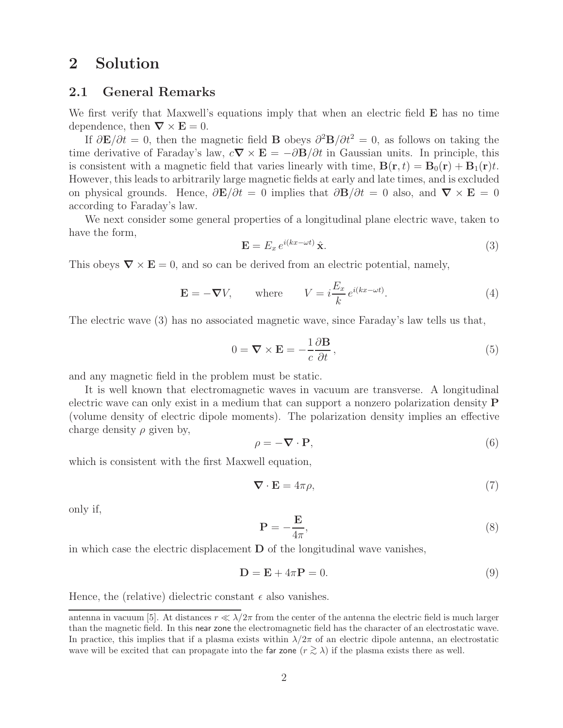# **2 Solution**

#### **2.1 General Remarks**

We first verify that Maxwell's equations imply that when an electric field **E** has no time dependence, then  $\nabla \times \mathbf{E} = 0$ .

If  $\partial \mathbf{E}/\partial t = 0$ , then the magnetic field **B** obeys  $\partial^2 \mathbf{B}/\partial t^2 = 0$ , as follows on taking the time derivative of Faraday's law,  $c\nabla \times \mathbf{E} = -\partial \mathbf{B}/\partial t$  in Gaussian units. In principle, this is consistent with a magnetic field that varies linearly with time,  $\mathbf{B}(\mathbf{r}, t) = \mathbf{B}_0(\mathbf{r}) + \mathbf{B}_1(\mathbf{r})t$ . However, this leads to arbitrarily large magnetic fields at early and late times, and is excluded on physical grounds. Hence,  $\partial \mathbf{E}/\partial t = 0$  implies that  $\partial \mathbf{B}/\partial t = 0$  also, and  $\nabla \times \mathbf{E} = 0$ according to Faraday's law.

We next consider some general properties of a longitudinal plane electric wave, taken to have the form,

$$
\mathbf{E} = E_x \, e^{i(kx - \omega t)} \, \hat{\mathbf{x}}.\tag{3}
$$

This obeys  $\nabla \times \mathbf{E} = 0$ , and so can be derived from an electric potential, namely,

$$
\mathbf{E} = -\boldsymbol{\nabla}V, \qquad \text{where} \qquad V = i\frac{E_x}{k}e^{i(kx-\omega t)}.
$$
 (4)

The electric wave (3) has no associated magnetic wave, since Faraday's law tells us that,

$$
0 = \nabla \times \mathbf{E} = -\frac{1}{c} \frac{\partial \mathbf{B}}{\partial t},\qquad(5)
$$

and any magnetic field in the problem must be static.

It is well known that electromagnetic waves in vacuum are transverse. A longitudinal electric wave can only exist in a medium that can support a nonzero polarization density **P** (volume density of electric dipole moments). The polarization density implies an effective charge density  $\rho$  given by,

$$
\rho = -\nabla \cdot \mathbf{P},\tag{6}
$$

which is consistent with the first Maxwell equation,

$$
\nabla \cdot \mathbf{E} = 4\pi \rho,\tag{7}
$$

only if,

$$
\mathbf{P} = -\frac{\mathbf{E}}{4\pi},\tag{8}
$$

in which case the electric displacement **D** of the longitudinal wave vanishes,

$$
\mathbf{D} = \mathbf{E} + 4\pi \mathbf{P} = 0. \tag{9}
$$

Hence, the (relative) dielectric constant  $\epsilon$  also vanishes.

antenna in vacuum [5]. At distances  $r \ll \lambda/2\pi$  from the center of the antenna the electric field is much larger than the magnetic field. In this near zone the electromagnetic field has the character of an electrostatic wave. In practice, this implies that if a plasma exists within  $\lambda/2\pi$  of an electric dipole antenna, an electrostatic wave will be excited that can propagate into the far zone ( $r \gtrsim \lambda$ ) if the plasma exists there as well.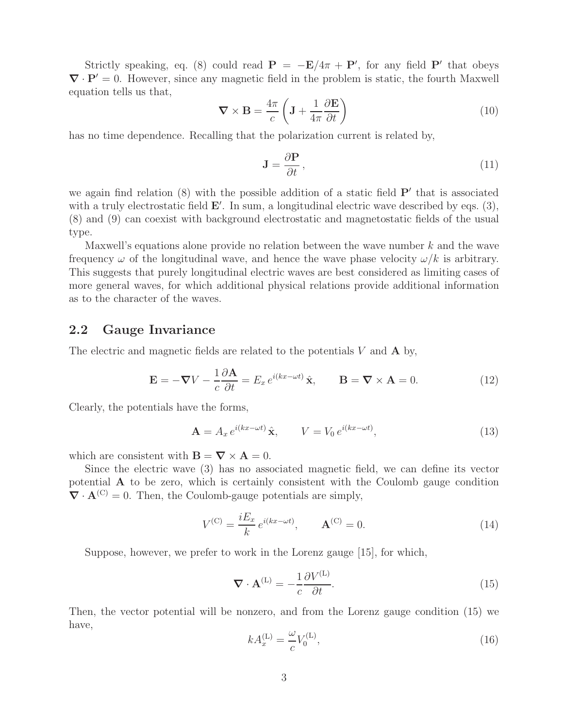Strictly speaking, eq. (8) could read  $P = -E/4\pi + P'$ , for any field P' that obeys  $\nabla \cdot \mathbf{P}' = 0$ . However, since any magnetic field in the problem is static, the fourth Maxwell equation tells us that,

$$
\nabla \times \mathbf{B} = \frac{4\pi}{c} \left( \mathbf{J} + \frac{1}{4\pi} \frac{\partial \mathbf{E}}{\partial t} \right)
$$
(10)

has no time dependence. Recalling that the polarization current is related by,

$$
\mathbf{J} = \frac{\partial \mathbf{P}}{\partial t},\tag{11}
$$

we again find relation (8) with the possible addition of a static field **P**' that is associated with a truly electrostatic field **E**'. In sum, a longitudinal electric wave described by eqs. (3), (8) and (9) can coexist with background electrostatic and magnetostatic fields of the usual type.

Maxwell's equations alone provide no relation between the wave number k and the wave frequency  $\omega$  of the longitudinal wave, and hence the wave phase velocity  $\omega/k$  is arbitrary. This suggests that purely longitudinal electric waves are best considered as limiting cases of more general waves, for which additional physical relations provide additional information as to the character of the waves.

### **2.2 Gauge Invariance**

The electric and magnetic fields are related to the potentials V and **A** by,

$$
\mathbf{E} = -\nabla V - \frac{1}{c} \frac{\partial \mathbf{A}}{\partial t} = E_x e^{i(kx - \omega t)} \hat{\mathbf{x}}, \qquad \mathbf{B} = \nabla \times \mathbf{A} = 0.
$$
 (12)

Clearly, the potentials have the forms,

$$
\mathbf{A} = A_x e^{i(kx - \omega t)} \hat{\mathbf{x}}, \qquad V = V_0 e^{i(kx - \omega t)}, \tag{13}
$$

which are consistent with  $\mathbf{B} = \nabla \times \mathbf{A} = 0$ .

Since the electric wave (3) has no associated magnetic field, we can define its vector potential **A** to be zero, which is certainly consistent with the Coulomb gauge condition  $\nabla \cdot \mathbf{A}^{(C)} = 0$ . Then, the Coulomb-gauge potentials are simply,

$$
V^{(C)} = \frac{iE_x}{k} e^{i(kx - \omega t)}, \qquad \mathbf{A}^{(C)} = 0.
$$
 (14)

Suppose, however, we prefer to work in the Lorenz gauge [15], for which,

$$
\nabla \cdot \mathbf{A}^{(L)} = -\frac{1}{c} \frac{\partial V^{(L)}}{\partial t}.
$$
\n(15)

Then, the vector potential will be nonzero, and from the Lorenz gauge condition (15) we have,

$$
kA_x^{(L)} = \frac{\omega}{c} V_0^{(L)},\tag{16}
$$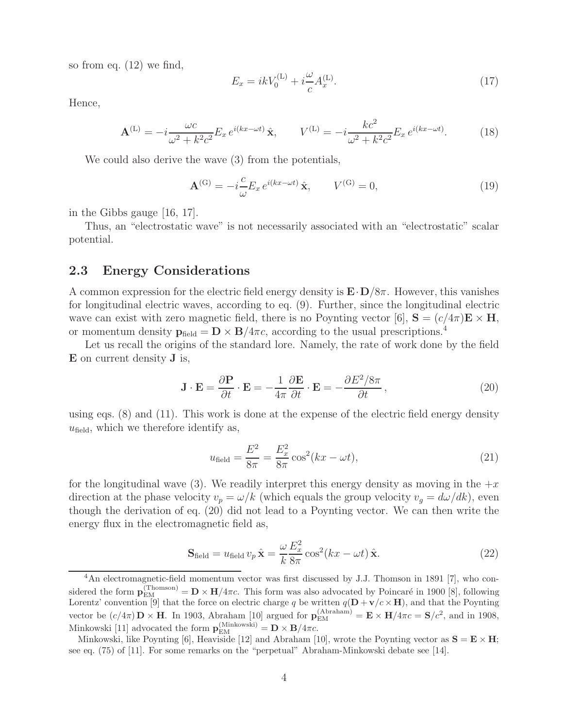so from eq. (12) we find,

$$
E_x = ikV_0^{(L)} + i\frac{\omega}{c}A_x^{(L)}.
$$
\n(17)

Hence,

$$
\mathbf{A}^{(\text{L})} = -i \frac{\omega c}{\omega^2 + k^2 c^2} E_x e^{i(kx - \omega t)} \hat{\mathbf{x}}, \qquad V^{(\text{L})} = -i \frac{k c^2}{\omega^2 + k^2 c^2} E_x e^{i(kx - \omega t)}.
$$
 (18)

We could also derive the wave (3) from the potentials,

$$
\mathbf{A}^{(\mathrm{G})} = -i\frac{c}{\omega} E_x e^{i(kx - \omega t)} \hat{\mathbf{x}}, \qquad V^{(\mathrm{G})} = 0,
$$
\n(19)

in the Gibbs gauge [16, 17].

Thus, an "electrostatic wave" is not necessarily associated with an "electrostatic" scalar potential.

#### **2.3 Energy Considerations**

A common expression for the electric field energy density is **<sup>E</sup>**·**D**/8π. However, this vanishes for longitudinal electric waves, according to eq. (9). Further, since the longitudinal electric wave can exist with zero magnetic field, there is no Poynting vector [6],  $S = (c/4\pi)E \times H$ , or momentum density  $\mathbf{p}_{\text{field}} = \mathbf{D} \times \mathbf{B}/4\pi c$ , according to the usual prescriptions.<sup>4</sup>

Let us recall the origins of the standard lore. Namely, the rate of work done by the field **E** on current density **J** is,

$$
\mathbf{J} \cdot \mathbf{E} = \frac{\partial \mathbf{P}}{\partial t} \cdot \mathbf{E} = -\frac{1}{4\pi} \frac{\partial \mathbf{E}}{\partial t} \cdot \mathbf{E} = -\frac{\partial E^2 / 8\pi}{\partial t},
$$
(20)

using eqs. (8) and (11). This work is done at the expense of the electric field energy density  $u_{\text{field}}$ , which we therefore identify as,

$$
u_{\text{field}} = \frac{E^2}{8\pi} = \frac{E_x^2}{8\pi} \cos^2(kx - \omega t),
$$
\n(21)

for the longitudinal wave (3). We readily interpret this energy density as moving in the  $+x$ direction at the phase velocity  $v_p = \omega/k$  (which equals the group velocity  $v_g = d\omega/dk$ ), even though the derivation of eq. (20) did not lead to a Poynting vector. We can then write the energy flux in the electromagnetic field as,

$$
\mathbf{S}_{\text{field}} = u_{\text{field}} v_p \hat{\mathbf{x}} = \frac{\omega}{k} \frac{E_x^2}{8\pi} \cos^2(kx - \omega t) \hat{\mathbf{x}}.
$$
 (22)

<sup>&</sup>lt;sup>4</sup>An electromagnetic-field momentum vector was first discussed by J.J. Thomson in 1891 [7], who considered the form  $\mathbf{p}_{\text{EM}}^{(\text{Thomson})} = \mathbf{D} \times \mathbf{H}/4\pi c$ . This form was also advocated by Poincaré in 1900 [8], following Lorentz' convention [9] that the force on electric charge q be written  $q(\mathbf{D} + \mathbf{v}/c \times \mathbf{H})$ , and that the Poynting vector be  $(c/4\pi)\mathbf{D} \times \mathbf{H}$ . In 1903, Abraham [10] argued for  $\mathbf{p}_{EM}^{(Abraham)} = \mathbf{E} \times \mathbf{H}/4\pi c = \mathbf{S}/c^2$ , and in 1908, Minkowski [11] advocated the form  $\mathbf{p}_{\text{EM}}^{(\text{Minkowski})} = \mathbf{D} \times \mathbf{B}/4\pi c$ .

Minkowski, like Poynting [6], Heaviside [12] and Abraham [10], wrote the Poynting vector as  $S = E \times H$ ; see eq. (75) of [11]. For some remarks on the "perpetual" Abraham-Minkowski debate see [14].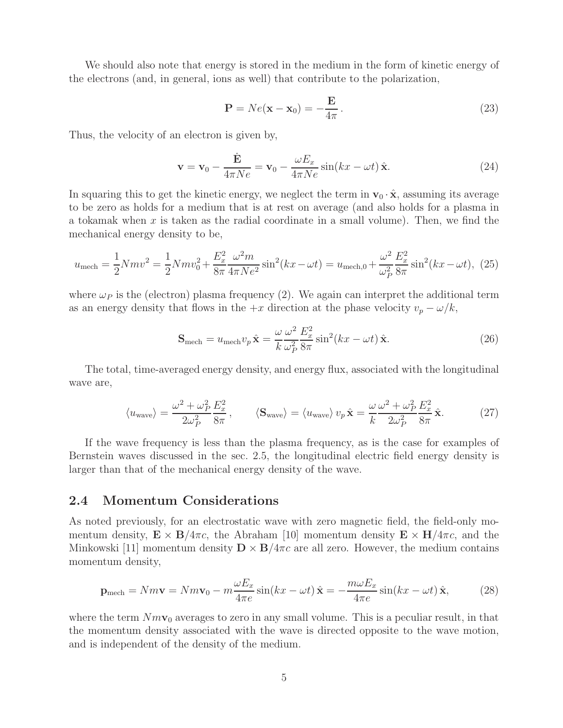We should also note that energy is stored in the medium in the form of kinetic energy of the electrons (and, in general, ions as well) that contribute to the polarization,

$$
\mathbf{P} = Ne(\mathbf{x} - \mathbf{x}_0) = -\frac{\mathbf{E}}{4\pi}.
$$
 (23)

Thus, the velocity of an electron is given by,

$$
\mathbf{v} = \mathbf{v}_0 - \frac{\dot{\mathbf{E}}}{4\pi Ne} = \mathbf{v}_0 - \frac{\omega E_x}{4\pi Ne} \sin(kx - \omega t) \hat{\mathbf{x}}.
$$
 (24)

In squaring this to get the kinetic energy, we neglect the term in  $\mathbf{v}_0 \cdot \hat{\mathbf{x}}$ , assuming its average to be zero as holds for a medium that is at rest on average (and also holds for a plasma in a tokamak when  $x$  is taken as the radial coordinate in a small volume). Then, we find the mechanical energy density to be,

$$
u_{\text{mech}} = \frac{1}{2} N m v^2 = \frac{1}{2} N m v_0^2 + \frac{E_x^2}{8\pi} \frac{\omega^2 m}{4\pi N e^2} \sin^2(kx - \omega t) = u_{\text{mech},0} + \frac{\omega^2}{\omega_P^2} \frac{E_x^2}{8\pi} \sin^2(kx - \omega t), \tag{25}
$$

where  $\omega_P$  is the (electron) plasma frequency (2). We again can interpret the additional term as an energy density that flows in the  $+x$  direction at the phase velocity  $v_p - \omega/k$ ,

$$
\mathbf{S}_{\text{mech}} = u_{\text{mech}} v_p \hat{\mathbf{x}} = \frac{\omega}{k} \frac{\omega^2}{\omega_P^2} \frac{E_x^2}{8\pi} \sin^2(kx - \omega t) \hat{\mathbf{x}}.\tag{26}
$$

The total, time-averaged energy density, and energy flux, associated with the longitudinal wave are,

$$
\langle u_{\text{wave}} \rangle = \frac{\omega^2 + \omega_P^2}{2\omega_P^2} \frac{E_x^2}{8\pi}, \qquad \langle \mathbf{S}_{\text{wave}} \rangle = \langle u_{\text{wave}} \rangle v_p \hat{\mathbf{x}} = \frac{\omega}{k} \frac{\omega^2 + \omega_P^2}{2\omega_P^2} \frac{E_x^2}{8\pi} \hat{\mathbf{x}}.
$$
 (27)

If the wave frequency is less than the plasma frequency, as is the case for examples of Bernstein waves discussed in the sec. 2.5, the longitudinal electric field energy density is larger than that of the mechanical energy density of the wave.

#### **2.4 Momentum Considerations**

As noted previously, for an electrostatic wave with zero magnetic field, the field-only momentum density,  $\mathbf{E} \times \mathbf{B}/4\pi c$ , the Abraham [10] momentum density  $\mathbf{E} \times \mathbf{H}/4\pi c$ , and the Minkowski [11] momentum density  $\mathbf{D} \times \mathbf{B}/4\pi c$  are all zero. However, the medium contains momentum density,

$$
\mathbf{p}_{\text{mech}} = Nm\mathbf{v} = Nm\mathbf{v}_0 - m\frac{\omega E_x}{4\pi e}\sin(kx - \omega t)\,\hat{\mathbf{x}} = -\frac{m\omega E_x}{4\pi e}\sin(kx - \omega t)\,\hat{\mathbf{x}},\tag{28}
$$

where the term  $Nm\mathbf{v}_0$  averages to zero in any small volume. This is a peculiar result, in that the momentum density associated with the wave is directed opposite to the wave motion, and is independent of the density of the medium.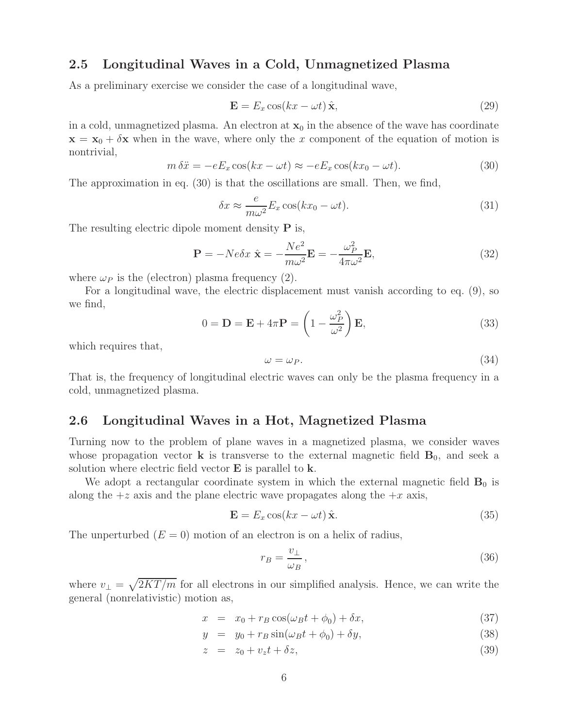#### **2.5 Longitudinal Waves in a Cold, Unmagnetized Plasma**

As a preliminary exercise we consider the case of a longitudinal wave,

$$
\mathbf{E} = E_x \cos(kx - \omega t) \hat{\mathbf{x}}, \qquad (29)
$$

in a cold, unmagnetized plasma. An electron at  $x_0$  in the absence of the wave has coordinate  $\mathbf{x} = \mathbf{x}_0 + \delta \mathbf{x}$  when in the wave, where only the x component of the equation of motion is nontrivial,

$$
m \,\delta \ddot{x} = -eE_x \cos(kx - \omega t) \approx -eE_x \cos(kx_0 - \omega t). \tag{30}
$$

The approximation in eq. (30) is that the oscillations are small. Then, we find,

$$
\delta x \approx \frac{e}{m\omega^2} E_x \cos(kx_0 - \omega t). \tag{31}
$$

The resulting electric dipole moment density **P** is,

$$
\mathbf{P} = -Ne\delta x \ \hat{\mathbf{x}} = -\frac{Ne^2}{m\omega^2} \mathbf{E} = -\frac{\omega_P^2}{4\pi\omega^2} \mathbf{E},\tag{32}
$$

where  $\omega_P$  is the (electron) plasma frequency (2).

For a longitudinal wave, the electric displacement must vanish according to eq. (9), so we find,

$$
0 = \mathbf{D} = \mathbf{E} + 4\pi \mathbf{P} = \left(1 - \frac{\omega_P^2}{\omega^2}\right) \mathbf{E},\tag{33}
$$

which requires that,

$$
\omega = \omega_P. \tag{34}
$$

That is, the frequency of longitudinal electric waves can only be the plasma frequency in a cold, unmagnetized plasma.

#### **2.6 Longitudinal Waves in a Hot, Magnetized Plasma**

Turning now to the problem of plane waves in a magnetized plasma, we consider waves whose propagation vector **k** is transverse to the external magnetic field  $\mathbf{B}_0$ , and seek a solution where electric field vector **E** is parallel to **k**.

We adopt a rectangular coordinate system in which the external magnetic field  $\mathbf{B}_0$  is along the  $+z$  axis and the plane electric wave propagates along the  $+x$  axis,

$$
\mathbf{E} = E_x \cos(kx - \omega t) \hat{\mathbf{x}}.
$$
 (35)

The unperturbed  $(E = 0)$  motion of an electron is on a helix of radius,

$$
r_B = \frac{v_\perp}{\omega_B},\tag{36}
$$

where  $v_{\perp} = \sqrt{2KT/m}$  for all electrons in our simplified analysis. Hence, we can write the general (nonrelativistic) motion as,

$$
x = x_0 + r_B \cos(\omega_B t + \phi_0) + \delta x,\tag{37}
$$

$$
y = y_0 + r_B \sin(\omega_B t + \phi_0) + \delta y,\tag{38}
$$

$$
y = y_0 + r_B \sin(\omega_B t + \phi_0) + \delta y,
$$
  
\n
$$
z = z_0 + v_z t + \delta z,
$$
\n(39)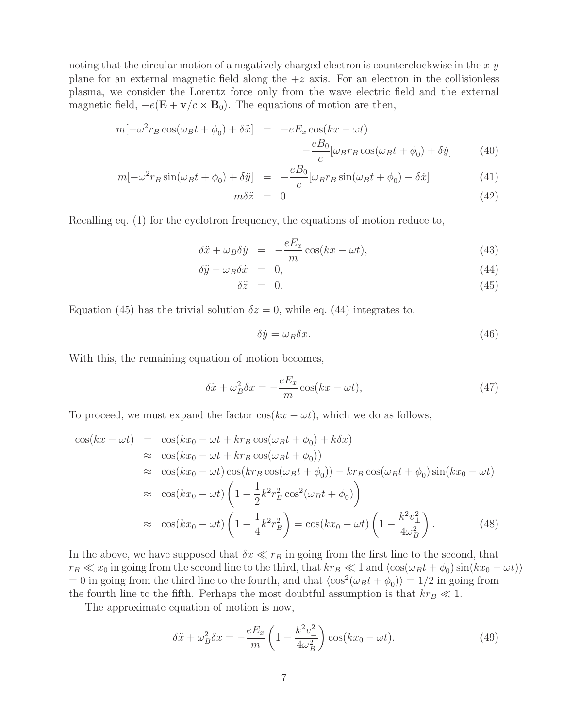noting that the circular motion of a negatively charged electron is counterclockwise in the  $x-y$ plane for an external magnetic field along the  $+z$  axis. For an electron in the collisionless plasma, we consider the Lorentz force only from the wave electric field and the external magnetic field,  $-e(E + v/c \times B_0)$ . The equations of motion are then,

$$
m[-\omega^2 r_B \cos(\omega_B t + \phi_0) + \delta \ddot{x}] = -eE_x \cos(kx - \omega t) -\frac{eB_0}{c} [\omega_B r_B \cos(\omega_B t + \phi_0) + \delta \dot{y}] \tag{40}
$$

$$
m[-\omega^2 r_B \sin(\omega_B t + \phi_0) + \delta \ddot{y}] = -\frac{eB_0}{c} [\omega_B r_B \sin(\omega_B t + \phi_0) - \delta \dot{x}] \tag{41}
$$

$$
m\delta \ddot{z} = 0. \tag{42}
$$

Recalling eq. (1) for the cyclotron frequency, the equations of motion reduce to,

$$
\delta \ddot{x} + \omega_B \delta \dot{y} = -\frac{eE_x}{m} \cos(kx - \omega t), \tag{43}
$$

$$
\delta \ddot{y} - \omega_B \delta \dot{x} = 0, \tag{44}
$$

$$
\delta \ddot{z} = 0. \tag{45}
$$

Equation (45) has the trivial solution  $\delta z = 0$ , while eq. (44) integrates to,

$$
\delta \dot{y} = \omega_B \delta x. \tag{46}
$$

With this, the remaining equation of motion becomes,

$$
\delta \ddot{x} + \omega_B^2 \delta x = -\frac{eE_x}{m} \cos(kx - \omega t),\tag{47}
$$

To proceed, we must expand the factor  $\cos(kx - \omega t)$ , which we do as follows,

$$
\cos(kx - \omega t) = \cos(kx_0 - \omega t + kr_B \cos(\omega_B t + \phi_0) + k\delta x)
$$
  
\n
$$
\approx \cos(kx_0 - \omega t + kr_B \cos(\omega_B t + \phi_0))
$$
  
\n
$$
\approx \cos(kx_0 - \omega t) \cos(kr_B \cos(\omega_B t + \phi_0)) - kr_B \cos(\omega_B t + \phi_0) \sin(kx_0 - \omega t)
$$
  
\n
$$
\approx \cos(kx_0 - \omega t) \left(1 - \frac{1}{2}k^2r_B^2 \cos^2(\omega_B t + \phi_0)\right)
$$
  
\n
$$
\approx \cos(kx_0 - \omega t) \left(1 - \frac{1}{4}k^2r_B^2\right) = \cos(kx_0 - \omega t) \left(1 - \frac{k^2v_\perp^2}{4\omega_B^2}\right). \tag{48}
$$

In the above, we have supposed that  $\delta x \ll r_B$  in going from the first line to the second, that  $r_B \ll x_0$  in going from the second line to the third, that  $kr_B \ll 1$  and  $\langle \cos(\omega_B t + \phi_0) \sin(kx_0 - \omega t) \rangle$  $= 0$  in going from the third line to the fourth, and that  $\langle \cos^2(\omega_B t + \phi_0) \rangle = 1/2$  in going from the fourth line to the fifth. Perhaps the most doubtful assumption is that  $kr_B \ll 1$ .

The approximate equation of motion is now,

$$
\delta \ddot{x} + \omega_B^2 \delta x = -\frac{eE_x}{m} \left( 1 - \frac{k^2 v_\perp^2}{4\omega_B^2} \right) \cos(kx_0 - \omega t). \tag{49}
$$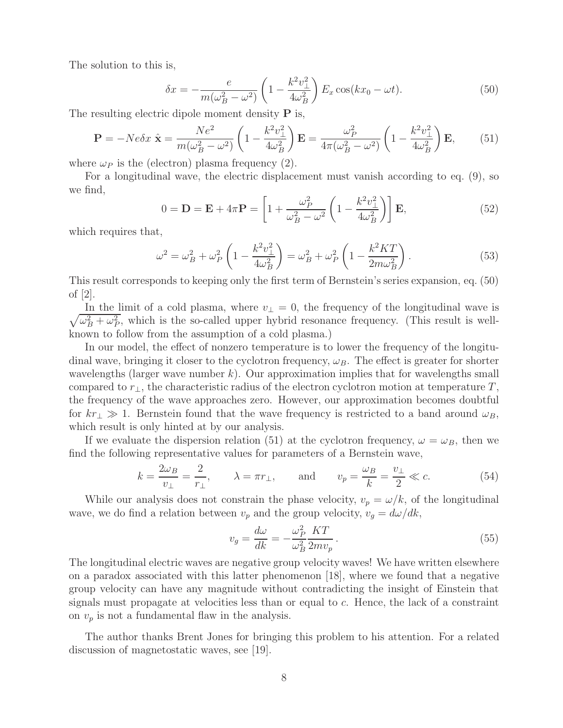The solution to this is,

$$
\delta x = -\frac{e}{m(\omega_B^2 - \omega^2)} \left(1 - \frac{k^2 v_\perp^2}{4\omega_B^2}\right) E_x \cos(kx_0 - \omega t). \tag{50}
$$

The resulting electric dipole moment density  $P$  is,

$$
\mathbf{P} = -Ne\delta x \hat{\mathbf{x}} = \frac{Ne^2}{m(\omega_B^2 - \omega^2)} \left(1 - \frac{k^2 v_\perp^2}{4\omega_B^2}\right) \mathbf{E} = \frac{\omega_P^2}{4\pi(\omega_B^2 - \omega^2)} \left(1 - \frac{k^2 v_\perp^2}{4\omega_B^2}\right) \mathbf{E},\qquad(51)
$$

where  $\omega_P$  is the (electron) plasma frequency (2).

For a longitudinal wave, the electric displacement must vanish according to eq. (9), so we find,

$$
0 = \mathbf{D} = \mathbf{E} + 4\pi \mathbf{P} = \left[1 + \frac{\omega_P^2}{\omega_B^2 - \omega^2} \left(1 - \frac{k^2 v_\perp^2}{4\omega_B^2}\right)\right] \mathbf{E},\tag{52}
$$

which requires that,

$$
\omega^2 = \omega_B^2 + \omega_P^2 \left( 1 - \frac{k^2 v_\perp^2}{4\omega_B^2} \right) = \omega_B^2 + \omega_P^2 \left( 1 - \frac{k^2 KT}{2m\omega_B^2} \right). \tag{53}
$$

This result corresponds to keeping only the first term of Bernstein's series expansion, eq. (50) of [2].

 $\sqrt{\omega_B^2 + \omega_P^2}$ , which is the so-called upper hybrid resonance frequency. (This result is well-<br>league to follow from the assumption of a sold plasma). In the limit of a cold plasma, where  $v_{\perp} = 0$ , the frequency of the longitudinal wave is known to follow from the assumption of a cold plasma.)

In our model, the effect of nonzero temperature is to lower the frequency of the longitudinal wave, bringing it closer to the cyclotron frequency,  $\omega_B$ . The effect is greater for shorter wavelengths (larger wave number  $k$ ). Our approximation implies that for wavelengths small compared to  $r_{\perp}$ , the characteristic radius of the electron cyclotron motion at temperature T, the frequency of the wave approaches zero. However, our approximation becomes doubtful for  $kr_{\perp} \gg 1$ . Bernstein found that the wave frequency is restricted to a band around  $\omega_B$ , which result is only hinted at by our analysis.

If we evaluate the dispersion relation (51) at the cyclotron frequency,  $\omega = \omega_B$ , then we find the following representative values for parameters of a Bernstein wave,

$$
k = \frac{2\omega_B}{v_\perp} = \frac{2}{r_\perp}, \qquad \lambda = \pi r_\perp, \qquad \text{and} \qquad v_p = \frac{\omega_B}{k} = \frac{v_\perp}{2} \ll c.
$$
 (54)

While our analysis does not constrain the phase velocity,  $v_p = \omega/k$ , of the longitudinal wave, we do find a relation between  $v_p$  and the group velocity,  $v_g = d\omega/dk$ ,

$$
v_g = \frac{d\omega}{dk} = -\frac{\omega_P^2}{\omega_B^2} \frac{KT}{2mv_p} \,. \tag{55}
$$

The longitudinal electric waves are negative group velocity waves! We have written elsewhere on a paradox associated with this latter phenomenon [18], where we found that a negative group velocity can have any magnitude without contradicting the insight of Einstein that signals must propagate at velocities less than or equal to c. Hence, the lack of a constraint on  $v_p$  is not a fundamental flaw in the analysis.

The author thanks Brent Jones for bringing this problem to his attention. For a related discussion of magnetostatic waves, see [19].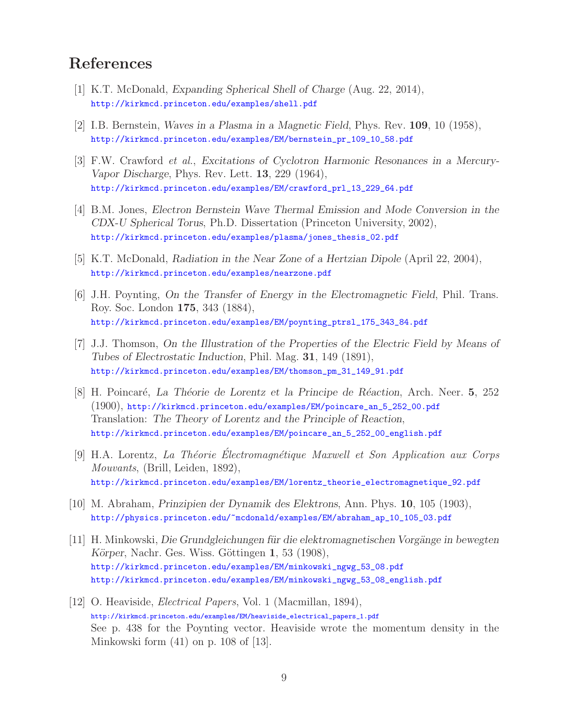# **References**

- [1] K.T. McDonald, *Expanding Spherical Shell of Charge* (Aug. 22, 2014), http://kirkmcd.princeton.edu/examples/shell.pdf
- [2] I.B. Bernstein, *Waves in a Plasma in a Magnetic Field*, Phys. Rev. **109**, 10 (1958), http://kirkmcd.princeton.edu/examples/EM/bernstein\_pr\_109\_10\_58.pdf
- [3] F.W. Crawford *et al.*, *Excitations of Cyclotron Harmonic Resonances in a Mercury-Vapor Discharge*, Phys. Rev. Lett. **13**, 229 (1964), http://kirkmcd.princeton.edu/examples/EM/crawford\_prl\_13\_229\_64.pdf
- [4] B.M. Jones, *Electron Bernstein Wave Thermal Emission and Mode Conversion in the CDX-U Spherical Torus*, Ph.D. Dissertation (Princeton University, 2002), http://kirkmcd.princeton.edu/examples/plasma/jones\_thesis\_02.pdf
- [5] K.T. McDonald, *Radiation in the Near Zone of a Hertzian Dipole* (April 22, 2004), http://kirkmcd.princeton.edu/examples/nearzone.pdf
- [6] J.H. Poynting, *On the Transfer of Energy in the Electromagnetic Field*, Phil. Trans. Roy. Soc. London **175**, 343 (1884), http://kirkmcd.princeton.edu/examples/EM/poynting\_ptrsl\_175\_343\_84.pdf
- [7] J.J. Thomson, *On the Illustration of the Properties of the Electric Field by Means of Tubes of Electrostatic Induction*, Phil. Mag. **31**, 149 (1891), http://kirkmcd.princeton.edu/examples/EM/thomson\_pm\_31\_149\_91.pdf
- [8] H. Poincar´e, *La Th´eorie de Lorentz et la Principe de R´eaction*, Arch. Neer. **5**, 252 (1900), http://kirkmcd.princeton.edu/examples/EM/poincare\_an\_5\_252\_00.pdf Translation: *The Theory of Lorentz and the Principle of Reaction*, http://kirkmcd.princeton.edu/examples/EM/poincare\_an\_5\_252\_00\_english.pdf
- [9] H.A. Lorentz, *La Th´eorie Electromagn´ ´ etique Maxwell et Son Application aux Corps Mouvants*, (Brill, Leiden, 1892), http://kirkmcd.princeton.edu/examples/EM/lorentz\_theorie\_electromagnetique\_92.pdf
- [10] M. Abraham, *Prinzipien der Dynamik des Elektrons*, Ann. Phys. **10**, 105 (1903), http://physics.princeton.edu/~mcdonald/examples/EM/abraham\_ap\_10\_105\_03.pdf
- [11] H. Minkowski, *Die Grundgleichungen für die elektromagnetischen Vorgänge in bewegten Körper*, Nachr. Ges. Wiss. Göttingen **1**, 53 (1908), http://kirkmcd.princeton.edu/examples/EM/minkowski\_ngwg\_53\_08.pdf http://kirkmcd.princeton.edu/examples/EM/minkowski\_ngwg\_53\_08\_english.pdf
- [12] O. Heaviside, *Electrical Papers*, Vol. 1 (Macmillan, 1894), http://kirkmcd.princeton.edu/examples/EM/heaviside\_electrical\_papers\_1.pdf See p. 438 for the Poynting vector. Heaviside wrote the momentum density in the Minkowski form (41) on p. 108 of [13].